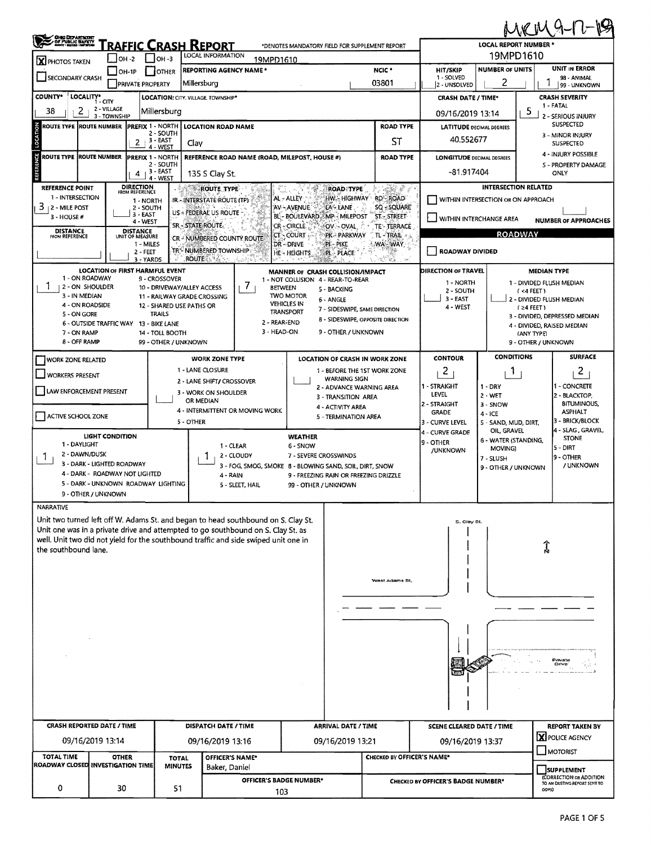|                                                                                                                                                             |                                                                       |                                    |                             |                                                                                     |                                                               |                                                     |                                               |                                                        |                                        |                                              | MKM9-17-19                           |  |  |  |  |
|-------------------------------------------------------------------------------------------------------------------------------------------------------------|-----------------------------------------------------------------------|------------------------------------|-----------------------------|-------------------------------------------------------------------------------------|---------------------------------------------------------------|-----------------------------------------------------|-----------------------------------------------|--------------------------------------------------------|----------------------------------------|----------------------------------------------|--------------------------------------|--|--|--|--|
| <b>CHEC DEPARTMENT</b><br>/ OF PUBLIC SIAPRY?<br>* ANNI · NATAL · NATALISM<br><b>TRAFFIC CRASH REPORT</b><br>*DENOTES MANDATORY FIELD FOR SUPPLEMENT REPORT |                                                                       |                                    |                             |                                                                                     |                                                               |                                                     |                                               |                                                        | LOCAL REPORT NUMBER *<br>19MPD1610     |                                              |                                      |  |  |  |  |
| X PHOTOS TAKEN                                                                                                                                              | $ $ OH -2                                                             | $1$ lo <sub>H</sub> -3             |                             | LOCAL INFORMATION<br>19MPD1610                                                      |                                                               |                                                     | NCIC <sup>*</sup>                             |                                                        |                                        | <b>UNIT IN ERROR</b>                         |                                      |  |  |  |  |
| SECONDARY CRASH                                                                                                                                             | $\Box$ OH-1P                                                          | <b>PRIVATE PROPERTY</b>            | OTHER                       | <b>REPORTING AGENCY NAME*</b><br> Millersburg                                       |                                                               |                                                     | <b>HIT/SKIP</b><br>1 - SOLVED<br>2 - UNSOLVED | <b>NUMBER OF UNITS</b><br>2                            |                                        | 98 - ANIMAL<br>99 - UNKNOWN                  |                                      |  |  |  |  |
| <b>COUNTY*</b><br>LOCALITY*                                                                                                                                 | 1 - CITY                                                              |                                    |                             | LOCATION: CITY. VILLAGE. TOWNSHIP*                                                  |                                                               |                                                     |                                               | <b>CRASH DATE / TIME*</b>                              |                                        |                                              | <b>CRASH SEVERITY</b>                |  |  |  |  |
| 2<br>38                                                                                                                                                     | 2 - VILLAGE<br>3 - TOWNSHIP                                           | Millersburg                        |                             |                                                                                     |                                                               |                                                     |                                               | 09/16/2019 13:14                                       | 5                                      | 1 - FATAL<br>2 - SERIOUS INJURY              |                                      |  |  |  |  |
| ROUTE TYPE IROUTE NUMBER                                                                                                                                    |                                                                       | <b>PREFIX 1 - NORTH</b>            | 2 - SOUTH                   | <b>LOCATION ROAD NAME</b>                                                           |                                                               |                                                     | <b>ROAD TYPE</b>                              | <b>LATITUDE DECIMAL DEGREES</b>                        |                                        |                                              | <b>SUSPECTED</b>                     |  |  |  |  |
| LOCATION                                                                                                                                                    |                                                                       | $-3 - EAST$<br>2<br>4 - WEST       | Clav                        |                                                                                     |                                                               |                                                     | ST                                            | 40.552677                                              |                                        |                                              | 3 - MINOR INJURY<br><b>SUSPECTED</b> |  |  |  |  |
| ğ<br>ROUTE TYPE IROUTE NUMBER                                                                                                                               |                                                                       | <b>PREFIX 1 - NORTH</b>            | 2 - SOUTH                   | REFERENCE ROAD NAME (ROAD, MILEPOST, HOUSE #)                                       |                                                               |                                                     | <b>LONGITUDE DECIMAL DEGREES</b>              |                                                        |                                        | 4 - INJURY POSSIBLE<br>5 - PROPERTY DAMAGE   |                                      |  |  |  |  |
|                                                                                                                                                             |                                                                       | , 3 - EAST<br>4<br>4 - WEST        |                             | 135 S Clay St.                                                                      |                                                               |                                                     | $-81.917404$                                  |                                                        |                                        | ONLY                                         |                                      |  |  |  |  |
| REFERENCE POINT                                                                                                                                             |                                                                       | <b>DIRECTION</b><br>FROM REFERENCE |                             | <b>ROUTE TYPE</b>                                                                   |                                                               | <b>ROAD TYPE</b>                                    | ことが やっ                                        | <b>INTERSECTION RELATED</b>                            |                                        |                                              |                                      |  |  |  |  |
| 1 - INTERSECTION<br>3<br><b>12 - MILE POST</b>                                                                                                              |                                                                       | 1 - NORTH<br>2 - SOUTH             |                             | IR ~ INTERSTATE ROUTE (TP)                                                          | AL - ALLEY<br>AV - AVENUE                                     | HW .- HIGHWAY<br>EA - LANE.                         | RD-ROAD<br>SQ - SQUARE                        | WITHIN INTERSECTION OR ON APPROACH                     |                                        |                                              |                                      |  |  |  |  |
| 3 - HOUSE #                                                                                                                                                 |                                                                       | 3 - EAST<br>4 - WEST               |                             | US & FEDERAL US ROUTE<br>SR - STATE ROUTE-                                          | BL - BOULEVARD,<br>CR-CIRCLE                                  | <b>MP - MILEPOST</b>                                | <b>ST-STREET</b>                              | WITHIN INTERCHANGE AREA<br><b>NUMBER OF APPROACHES</b> |                                        |                                              |                                      |  |  |  |  |
| <b>DISTANCE</b><br><b>FROM REFERENCE</b>                                                                                                                    |                                                                       | <b>DISTANCE</b><br>UNIT OF MEASURE |                             | CR - NUMBERED COUNTY ROUTE                                                          | CT - COURT                                                    | OV - OVAL<br>PK - PARKWAY                           | TE TERRACE<br>TL-TRAIL                        | <b>ROADWAY</b>                                         |                                        |                                              |                                      |  |  |  |  |
|                                                                                                                                                             |                                                                       | 1 - MILES<br>2 - FEET              |                             | TR <sup>es</sup> NUMBERED TOWNSHIP:                                                 | DR-DRIVE<br>HE-HEIGHTS                                        | PI - PIKE<br><b>PL PLACE</b>                        | <b>WA-WAY</b>                                 | <b>ROADWAY DIVIDED</b>                                 |                                        |                                              |                                      |  |  |  |  |
|                                                                                                                                                             | <b>LOCATION OF FIRST HARMFUL EVENT</b>                                | 3 - YARDS                          |                             | ROUTEG, A.A.                                                                        | MANNER OF CRASH COLLISION/IMPACT                              |                                                     | 83                                            | DIRECTION OF TRAVEL                                    |                                        |                                              | <b>MEDIAN TYPE</b>                   |  |  |  |  |
| 1 - ON ROADWAY<br>2 - ON SHOULDER                                                                                                                           |                                                                       | 9 - CROSSOVER                      | 10 - DRIVEWAY/ALLEY ACCESS  | $\prime$<br><b>BETWEEN</b>                                                          | 1 - NOT COLLISION 4 - REAR-TO-REAR                            | 5 - BACKING                                         |                                               | 1 - NORTH                                              |                                        | 1 - DIVIDED FLUSH MEDIAN                     |                                      |  |  |  |  |
| 3 - IN MEDIAN                                                                                                                                               |                                                                       |                                    | 11 - RAILWAY GRADE CROSSING |                                                                                     | <b>TWO MOTOR</b><br><b>VEHICLES IN</b>                        | 6 - ANGLE                                           |                                               | 2 - SOUTH<br>3 - EAST                                  |                                        |                                              | (4FEE)<br>2 - DIVIDED FLUSH MEDIAN   |  |  |  |  |
| 4 - ON ROADSIDE<br>5 - ON GORE                                                                                                                              |                                                                       | <b>TRAILS</b>                      | 12 - SHARED USE PATHS OR    |                                                                                     | <b>TRANSPORT</b>                                              | 7 - SIDESWIPE, SAME DIRECTION                       | 8 - SIDESWIPE, OPPOSITE DIRECTION             | 4 - WEST                                               |                                        | $(24$ FEET)<br>3 - DIVIDED, DEPRESSED MEDIAN |                                      |  |  |  |  |
| 7 - ON RAMP                                                                                                                                                 | 6 - OUTSIDE TRAFFIC WAY 13 - BIKE LANE                                | 14 - TOLL BOOTH                    |                             | 2 - REAR-END<br>3 HEAD ON                                                           |                                                               | 9 - OTHER / UNKNOWN                                 |                                               |                                                        |                                        | 4 - DIVIDED, RAISED MEDIAN<br>(ANY TYPE)     |                                      |  |  |  |  |
| 8 - OFF RAMP                                                                                                                                                |                                                                       |                                    | 99 - OTHER / UNKNOWN        |                                                                                     |                                                               |                                                     |                                               |                                                        |                                        | 9 - OTHER / UNKNOWN                          |                                      |  |  |  |  |
| <b>WORK ZONE RELATED</b>                                                                                                                                    |                                                                       |                                    |                             | <b>WORK ZONE TYPE</b>                                                               |                                                               | <b>LOCATION OF CRASH IN WORK ZONE</b>               |                                               | <b>CONTOUR</b>                                         | <b>CONDITIONS</b>                      |                                              | <b>SURFACE</b>                       |  |  |  |  |
| <b>WORKERS PRESENT</b>                                                                                                                                      |                                                                       |                                    |                             | 1 - LANE CLOSURE<br>2 - LANE SHIFT/ CROSSOVER                                       |                                                               | 1 - BEFORE THE 1ST WORK ZONE<br><b>WARNING SIGN</b> |                                               | $\mathbf{Z}$                                           | Т.                                     |                                              | 2                                    |  |  |  |  |
| LAW ENFORCEMENT PRESENT                                                                                                                                     |                                                                       |                                    |                             | 3 - WORK ON SHOULDER                                                                |                                                               | 2 - ADVANCE WARNING AREA<br>3 - TRANSITION AREA     |                                               | 1 - STRAIGHT<br>LEVEL                                  | $1 - DRY$<br>$2 - WET$                 |                                              | I - CONCRETE<br>2 - BLACKTOP,        |  |  |  |  |
|                                                                                                                                                             |                                                                       |                                    |                             | OR MEDIAN<br>4 - INTERMITTENT OR MOVING WORK                                        |                                                               | 4 - ACTIVITY AREA                                   |                                               | 2 - STRAIGHT                                           | 3 - SNOW                               |                                              | <b>BITUMINOUS,</b>                   |  |  |  |  |
| ACTIVE SCHOOL ZONE                                                                                                                                          |                                                                       |                                    | 5 - OTHER                   |                                                                                     |                                                               | 5 - TERMINATION AREA                                | <b>GRADE</b><br>3 - CURVE LEVEL               | 4 - ICE<br>5 - SAND, MUD, DIRT,                        | <b>ASPHALT</b><br>3 - BRICK/BLOCK      |                                              |                                      |  |  |  |  |
|                                                                                                                                                             | <b>LIGHT CONDITION</b>                                                |                                    |                             |                                                                                     | <b>WEATHER</b>                                                |                                                     |                                               | 4 - CURVE GRADE<br>9 - OTHER                           | OIL, GRAVEL<br>6 - WATER (STANDING,    |                                              | 4 - SLAG . GRAVEL.<br><b>STONE</b>   |  |  |  |  |
| 1 - DAYLIGHT<br>2 - DAWN/DUSK<br>1                                                                                                                          |                                                                       |                                    |                             | 1 - CLEAR<br>2 - CLOUDY                                                             | 6 - SNOW<br>7 - SEVERE CROSSWINDS                             |                                                     | /UNKNOWN                                      | MOVING)                                                |                                        | 5 - DIRT<br>9 - OTHER                        |                                      |  |  |  |  |
|                                                                                                                                                             | 3 - DARK - LIGHTED ROADWAY                                            |                                    |                             | 3 - FOG, SMOG, SMOKE 8 - BLOWING SAND, SOIL, DIRT, SNOW                             |                                                               |                                                     |                                               | 7 - SLUSH<br>9 - OTHER / UNKNOWN                       |                                        | / UNKNOWN                                    |                                      |  |  |  |  |
|                                                                                                                                                             | 4 - DARK - ROADWAY NOT LIGHTED<br>5 - DARK - UNKNOWN ROADWAY LIGHTING |                                    |                             | 4 - RAIN<br>5 - SLEET, HAIL                                                         | 9 - FREEZING RAIN OR FREEZING DRIZZLE<br>99 - OTHER / UNKNOWN |                                                     |                                               |                                                        |                                        |                                              |                                      |  |  |  |  |
|                                                                                                                                                             | 9 - OTHER / UNKNOWN                                                   |                                    |                             |                                                                                     |                                                               |                                                     |                                               |                                                        |                                        |                                              |                                      |  |  |  |  |
| NARRATIVE                                                                                                                                                   |                                                                       |                                    |                             | Unit two turned left off W. Adams St. and began to head southbound on S. Clay St.   |                                                               |                                                     |                                               |                                                        |                                        |                                              |                                      |  |  |  |  |
|                                                                                                                                                             |                                                                       |                                    |                             | Unit one was in a private drive and attempted to go southbound on S. Clay St. as    |                                                               |                                                     |                                               | S. Clay St.                                            |                                        |                                              |                                      |  |  |  |  |
| the southbound lane.                                                                                                                                        |                                                                       |                                    |                             | well. Unit two did not yield for the southbound traffic and side swiped unit one in |                                                               |                                                     |                                               |                                                        |                                        |                                              | Î                                    |  |  |  |  |
|                                                                                                                                                             |                                                                       |                                    |                             |                                                                                     |                                                               |                                                     |                                               |                                                        |                                        |                                              |                                      |  |  |  |  |
|                                                                                                                                                             |                                                                       |                                    |                             |                                                                                     |                                                               |                                                     | West Adams St.                                |                                                        |                                        |                                              |                                      |  |  |  |  |
|                                                                                                                                                             |                                                                       |                                    |                             |                                                                                     |                                                               |                                                     |                                               |                                                        |                                        |                                              |                                      |  |  |  |  |
|                                                                                                                                                             |                                                                       |                                    |                             |                                                                                     |                                                               |                                                     |                                               |                                                        |                                        |                                              |                                      |  |  |  |  |
|                                                                                                                                                             |                                                                       |                                    |                             |                                                                                     |                                                               |                                                     |                                               |                                                        |                                        |                                              |                                      |  |  |  |  |
|                                                                                                                                                             |                                                                       |                                    |                             |                                                                                     |                                                               |                                                     |                                               |                                                        |                                        |                                              |                                      |  |  |  |  |
|                                                                                                                                                             |                                                                       |                                    |                             |                                                                                     |                                                               |                                                     |                                               |                                                        |                                        |                                              |                                      |  |  |  |  |
|                                                                                                                                                             |                                                                       |                                    |                             |                                                                                     |                                                               | Private<br>Dilve                                    |                                               |                                                        |                                        |                                              |                                      |  |  |  |  |
|                                                                                                                                                             |                                                                       |                                    |                             |                                                                                     |                                                               |                                                     |                                               |                                                        |                                        |                                              |                                      |  |  |  |  |
|                                                                                                                                                             |                                                                       |                                    |                             |                                                                                     |                                                               |                                                     |                                               |                                                        |                                        |                                              |                                      |  |  |  |  |
|                                                                                                                                                             | <b>CRASH REPORTED DATE / TIME</b>                                     |                                    |                             | DISPATCH DATE / TIME                                                                |                                                               | <b>ARRIVAL DATE / TIME</b>                          |                                               | <b>SCENE CLEARED DATE / TIME</b>                       |                                        |                                              |                                      |  |  |  |  |
|                                                                                                                                                             | 09/16/2019 13:14                                                      |                                    |                             | 09/16/2019 13:16                                                                    |                                                               | 09/16/2019 13:21                                    |                                               | 09/16/2019 13:37                                       |                                        | <b>REPORT TAKEN BY</b><br>X POLICE AGENCY    |                                      |  |  |  |  |
| TOTAL TIME                                                                                                                                                  | <b>OTHER</b>                                                          |                                    | <b>TOTAL</b>                | OFFICER'S NAME*                                                                     |                                                               |                                                     | CHECKED BY OFFICER'S NAME*                    |                                                        |                                        |                                              | $\Box$ MOTORIST                      |  |  |  |  |
| ROADWAY CLOSED INVESTIGATION TIME                                                                                                                           |                                                                       |                                    | <b>MINUTES</b>              | Baker, Daniel                                                                       |                                                               |                                                     |                                               |                                                        | SUPPLEMENT<br>(CORRECTION OR ADDITION  |                                              |                                      |  |  |  |  |
| 0                                                                                                                                                           | 30                                                                    |                                    | 51                          | <b>OFFICER'S BADGE NUMBER*</b><br>103                                               |                                                               |                                                     | CHECKED BY OFFICER'S BADGE NUMBER*            |                                                        | TO AN EXISTING REPORT SENT TO<br>ODPS) |                                              |                                      |  |  |  |  |
|                                                                                                                                                             |                                                                       |                                    |                             |                                                                                     |                                                               |                                                     |                                               |                                                        |                                        |                                              |                                      |  |  |  |  |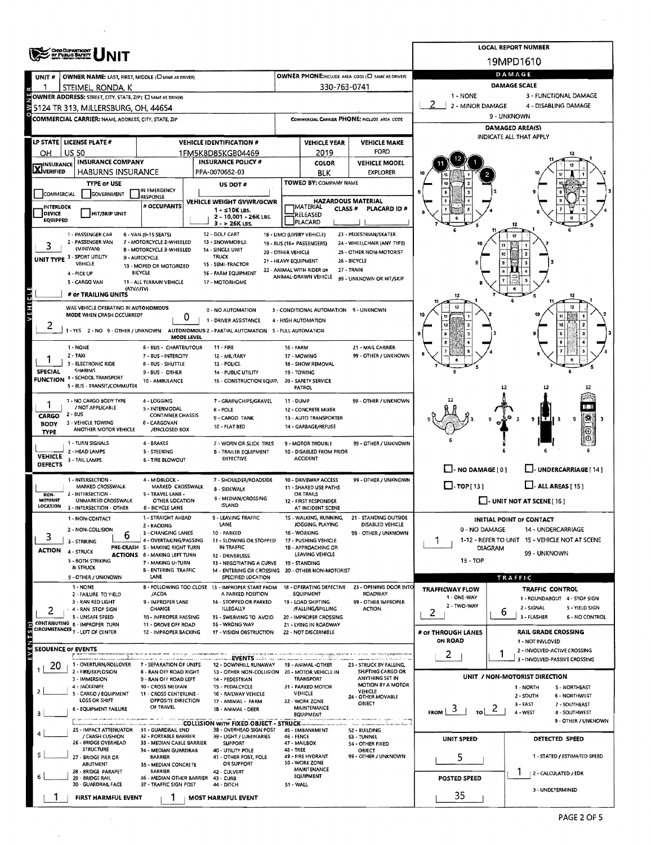|                                                                                                  | <b>CHOODEPARTMENT</b><br>OF PUBLIC BAFRIT                                                                                                                                            |                                                                        | <b>LOCAL REPORT NUMBER</b>                                                    |                      |                                                         |                                                      |                                                   |                              |                                                          |  |  |  |
|--------------------------------------------------------------------------------------------------|--------------------------------------------------------------------------------------------------------------------------------------------------------------------------------------|------------------------------------------------------------------------|-------------------------------------------------------------------------------|----------------------|---------------------------------------------------------|------------------------------------------------------|---------------------------------------------------|------------------------------|----------------------------------------------------------|--|--|--|
|                                                                                                  |                                                                                                                                                                                      |                                                                        | 19MPD1610<br>DAMAGE                                                           |                      |                                                         |                                                      |                                                   |                              |                                                          |  |  |  |
| UNIT <sub>#</sub>                                                                                | OWNER NAME: LAST, FIRST, MIDDLE (C) SAME AS DRIVER)<br>STEIMEL, RONDA, K                                                                                                             |                                                                        | OWNER PHONE:INCLUDE AREA CODE (L) SAME AS DRIVER)<br>330-763-0741             | <b>DAMAGE SCALE</b>  |                                                         |                                                      |                                                   |                              |                                                          |  |  |  |
| 1 - NONE<br>3 - FUNCTIONAL DAMAGE<br>OWNER ADDRESS: STREET, CITY, STATE, ZIP ( I SAME AS DRIVER) |                                                                                                                                                                                      |                                                                        |                                                                               |                      |                                                         |                                                      |                                                   |                              |                                                          |  |  |  |
|                                                                                                  | 5124 TR 313, MILLERSBURG, OH, 44654                                                                                                                                                  |                                                                        | z<br>2 - MINOR DAMAGE                                                         |                      | 4 - DISABLING DAMAGE                                    |                                                      |                                                   |                              |                                                          |  |  |  |
|                                                                                                  | <b>COMMERCIAL CARRIER: NAME, ADDRESS, CITY, STATE, ZIP</b>                                                                                                                           |                                                                        |                                                                               |                      |                                                         | COMMERCIAL CARRIER PHONE: INCLUDE AREA CODE          | 9 - UNKNOWN                                       |                              |                                                          |  |  |  |
|                                                                                                  |                                                                                                                                                                                      |                                                                        |                                                                               |                      |                                                         |                                                      | <b>DAMAGED AREA(S)</b><br>INDICATE ALL THAT APPLY |                              |                                                          |  |  |  |
| OН                                                                                               | LP STATE   LICENSE PLATE #<br><b>US 50</b>                                                                                                                                           |                                                                        | <b>VEHICLE IDENTIFICATION #</b><br>1FM5K8D85KGB04469                          |                      | <b>VEHICLE YEAR</b><br>2019                             | <b>VEHICLE MAKE</b><br><b>FORD</b>                   |                                                   |                              |                                                          |  |  |  |
|                                                                                                  | <b>INSURANCE COMPANY</b>                                                                                                                                                             |                                                                        | <b>INSURANCE POLICY #</b>                                                     |                      | COLOR                                                   | <b>VEHICLE MODEL</b>                                 |                                                   |                              |                                                          |  |  |  |
| $\overline{\mathbf{X}}$ INSURANCE                                                                | <b>HABURNS INSURANCE</b>                                                                                                                                                             |                                                                        | PPA-0070652-03                                                                |                      | BLK                                                     | <b>EXPLORER</b>                                      |                                                   |                              |                                                          |  |  |  |
|                                                                                                  | <b>TYPE OF USE</b>                                                                                                                                                                   | IN EMERGENCY                                                           | US DOT#                                                                       |                      | TOWED BY: COMPANY NAME                                  |                                                      |                                                   |                              |                                                          |  |  |  |
| COMMERCIAL                                                                                       | GOVERNMENT                                                                                                                                                                           | <b>RESPONSE</b><br># OCCUPANTS                                         | VEHICLE WEIGHT GVWR/GCWR                                                      |                      | <b>HAZARDOUS MATERIAL</b>                               |                                                      |                                                   |                              |                                                          |  |  |  |
| INTERLOCK<br>DEVICE                                                                              | <b>HIT/SKIP UNIT</b>                                                                                                                                                                 |                                                                        | 1 - ≤10K LBS.<br>2 - 10,001 - 26K LBS.                                        |                      | <b>TMATERIAL</b><br>CLASS <sup>#</sup><br>RELEASED      | PLACARD ID #                                         |                                                   |                              |                                                          |  |  |  |
| <b>EQUIPPED</b>                                                                                  |                                                                                                                                                                                      |                                                                        | 3 - > 26K LBS.                                                                |                      | PLACARD                                                 |                                                      |                                                   |                              |                                                          |  |  |  |
|                                                                                                  | 1 - PASSENGER CAR<br>2 - PASSENGER VAN                                                                                                                                               | 6 - VAN (9-15 SEATS)<br>7 - MOTORCYCLE 2-WHEELED                       | 12 - GOLF CART<br>13 - SNOWMOBILE                                             |                      | 18 - LIMO (LIVERY VEHICLE)<br>19 - BUS (16+ PASSENGERS) | 23 - PEDESTRIAN/SKATER<br>24 - WHEELCHAIR (ANY TYPE) |                                                   |                              | 12                                                       |  |  |  |
| 3                                                                                                | (MINIVAN)<br>UNIT TYPE 3 - SPORT UTILITY                                                                                                                                             | <b>B - MOTORCYCLE 3 - WHEELED</b><br>9 - AUTOCYCLE                     | 14 - SINGLE UNIT<br><b>TRUCK</b>                                              | 20 - OTHER VEHICLE   |                                                         | 25 - OTHER NON-MOTORIST                              |                                                   |                              |                                                          |  |  |  |
|                                                                                                  | VEHICLE                                                                                                                                                                              | 10 - MOPED OR MOTORIZED                                                | 15 - SEMI-TRACTOR                                                             | 21 - HEAVY EQUIPMENT | 22 - ANIMAL WITH RIDER OR                               | 26 - BICYCLE<br>27 - TRAIN                           |                                                   |                              |                                                          |  |  |  |
|                                                                                                  | 4 - PICK UP<br>5 - CARGO VAN                                                                                                                                                         | <b>BICYCLE</b><br>11 - ALL TERRAIN VEHICLE                             | 16 - FARM EQUIPMENT<br>17 - MOTORHOME                                         |                      | ANIMAL-DRAWN VEHICLE                                    | 99 - UNKNOWN OR HIT/SKIP                             |                                                   |                              |                                                          |  |  |  |
|                                                                                                  | (ATV/UTV)<br># of TRAILING UNITS                                                                                                                                                     |                                                                        |                                                                               |                      |                                                         |                                                      | 12                                                |                              |                                                          |  |  |  |
| F                                                                                                | WAS VEHICLE OPERATING IN AUTONOMOUS                                                                                                                                                  |                                                                        | 0 - NO AUTOMATION                                                             |                      | 3 - CONDITIONAL AUTOMATION 9 - UNKNOWN                  |                                                      |                                                   |                              |                                                          |  |  |  |
|                                                                                                  | MODE WHEN CRASH OCCURRED?                                                                                                                                                            | 0                                                                      | 1 - DRIVER ASSISTANCE                                                         |                      | 4 - HIGH AUTOMATION                                     |                                                      |                                                   |                              |                                                          |  |  |  |
| 2                                                                                                | 1-YES 2-NO 9-OTHER/UNKNOWN                                                                                                                                                           |                                                                        | AUTONOMOUS 2 - PARTIAL AUTOMATION S - FULL AUTOMATION                         |                      |                                                         |                                                      |                                                   |                              |                                                          |  |  |  |
|                                                                                                  | 1 - NONE                                                                                                                                                                             | MODE LEVEL<br>6 - BUS - CHARTER/TOUR                                   | $11 - FIRE$                                                                   | 16 - FARM            |                                                         | 21 - MAIL CARRIER                                    |                                                   |                              |                                                          |  |  |  |
|                                                                                                  | $2 - TAXi$                                                                                                                                                                           | 7 - BUS - INTERCITY                                                    | 12 - MILITARY                                                                 |                      | 17 - MOWING                                             | 99 - OTHER / UNKNOWN                                 |                                                   |                              |                                                          |  |  |  |
| <b>SPECIAL</b>                                                                                   | 3 - ELECTRONIC RIDE<br><b>SHARING</b>                                                                                                                                                | 8 - BUS - SHUTTLE<br>9 - 8US - OTHER                                   | 13 - POLICE<br>14 - PUBLIC UTILITY                                            |                      | 18 - SNOW REMOVAL<br>19 - TOWING                        |                                                      |                                                   |                              |                                                          |  |  |  |
|                                                                                                  | <b>FUNCTION 4 - SCHOOL TRANSPORT</b><br>5 - 8LIS - TRANSIT/COMMUTER                                                                                                                  | 10 - AMBULANCE                                                         | 15 - CONSTRUCTION EQUIP.                                                      |                      | 20 - SAFETY SERVICE<br><b>PATROL</b>                    |                                                      |                                                   | 12                           |                                                          |  |  |  |
|                                                                                                  | 1 - NO CARGO 8ODY TYPE                                                                                                                                                               | 4 - LOGGING                                                            | 7 - GRAIN/CHIPS/GRAVEL                                                        | 11 - DUMP            |                                                         | 99 - OTHER / UNKNOWN                                 |                                                   |                              |                                                          |  |  |  |
|                                                                                                  | / NOT APPLICABLE                                                                                                                                                                     | 5 - INTERMODAL                                                         | 8 - POLE                                                                      |                      | 12 - CONCRETE MIXER                                     |                                                      |                                                   |                              |                                                          |  |  |  |
| <b>CARGO</b><br><b>BODY</b>                                                                      | $2 - BUS$<br>3 - VEHICLE TOWING                                                                                                                                                      | <b>CONTAINER CHASSIS</b><br>6 - CARGOVAN                               | 9 - CARGO TANK<br>10 - FLAT BED                                               |                      | 13 - AUTO TRANSPORTER<br>14 - GARBAGE/REFUSE            |                                                      |                                                   |                              | ¦#\$<br>9<br>9                                           |  |  |  |
| TYPE                                                                                             | ANOTHER MOTOR VEHICLE                                                                                                                                                                | /ENCLOSED BOX                                                          |                                                                               |                      |                                                         |                                                      |                                                   |                              | $_{\scriptscriptstyle\odot}$                             |  |  |  |
|                                                                                                  | 1 - TURN SIGNALS<br>2 - HEAD LAMPS                                                                                                                                                   | 4 - BRAKES<br><b>S - STEERING</b>                                      | 7 - WORN OR SLICK TIRES<br><b>B - TRAILER EQUIPMENT</b>                       |                      | 9 - MOTOR TROUBLE<br>10 - DISABLED FROM PRIOR           | 99 - OTHER / UNKNOWN                                 |                                                   |                              |                                                          |  |  |  |
| <b>VEHICLE</b><br><b>DEFECTS</b>                                                                 | 3 - TAIL LAMPS                                                                                                                                                                       | 6 - TIRE BLOWOUT                                                       | DEFECTIVE                                                                     |                      | <b>ACCIDENT</b>                                         |                                                      |                                                   |                              |                                                          |  |  |  |
|                                                                                                  | 1 - INTERSECTION -                                                                                                                                                                   | 4 - MIDBLOCK -                                                         | 7 - SHOULDER/ROADSIDE                                                         |                      | 10 - DRIVEWAY ACCESS                                    | 99 - OTHER / UNKNOWN                                 | $\Box$ - NO DAMAGE [0]                            |                              | U-UNDERCARRIAGE [14]                                     |  |  |  |
|                                                                                                  | MARKED CROSSWALK<br>2 - INTERSECTION -                                                                                                                                               | MARKED CROSSWALK                                                       | <b>B-SIDEWALK</b>                                                             |                      | 11 - SHARED USE PATHS                                   |                                                      | $\Box$ -TOP[13]                                   |                              | $\Box$ - ALL AREAS [ 15 ]                                |  |  |  |
| NON-<br><b>MOTORIST</b><br>LOCATION                                                              | UNMARKED CROSSWALK                                                                                                                                                                   | 5 - TRAVEL LANE -<br>OTHER LOCATION                                    | 9 - MEDIAN/CROSSING<br><b>ISLAND</b>                                          |                      | <b>OR TRAILS</b><br>12 - FIRST RESPONDER                |                                                      | L.I. UNIT NOT AT SCENE[16]                        |                              |                                                          |  |  |  |
|                                                                                                  | 3 - INTERSECTION - OTHER<br>1 - NON-CONTACT                                                                                                                                          | 6 - BICYCLE LANE<br>1 - STRAIGHT AHEAD                                 | 9 - LEAVING TRAFFIC                                                           |                      | AT INCIDENT SCENE<br>15 - WALKING, RUNNING,             | 21 - STANDING OUTSIDE                                |                                                   |                              | <b>INITIAL POINT OF CONTACT</b>                          |  |  |  |
|                                                                                                  | 2 - NON-COLLISION                                                                                                                                                                    | 2 - BACKING                                                            | LANE                                                                          |                      | JOGGING, PLAYING<br>16 - WORKING                        | DISABLED VEHICLE<br>99 - OTHER / UNKNOWN             | 0 - NO DAMAGE                                     |                              | 14 - UNDERCARRIAGE                                       |  |  |  |
| 3                                                                                                | 6<br>3 - STRIKING                                                                                                                                                                    | 3 - CHANGING LANES<br>4 - OVERTAKING/PASSING                           | 10 - PARKED<br>11 - SLOWING OR STOPPED                                        |                      | 17 - PUSHING VEHICLE                                    |                                                      | 1                                                 |                              | 1-12 - REFER TO UNIT 15 - VEHICLE NOT AT SCENE           |  |  |  |
| <b>ACTION</b>                                                                                    | 4 - STRUCK                                                                                                                                                                           | PRE-CRASH S - MAKING RIGHT TURN<br><b>ACTIONS</b> 6 - MAKING LEFT TURN | IN TRAFFIC<br>12 - DRIVERLESS                                                 |                      | 18 - APPROACHING OR<br>LEAVING VEHICLE                  |                                                      |                                                   | <b>DIAGRAM</b>               | 99 - UNKNOWN                                             |  |  |  |
|                                                                                                  | 5 - BOTH STRIKING<br>& STRUCK                                                                                                                                                        | 7 - MAKING U-TURN<br>8 - ENTERING TRAFFIC                              | 13 - NEGOTIATING A CURVE<br>14 - ENTERING OR CROSSING 20 - OTHER NON-MOTORIST |                      | 19 - STANDING                                           |                                                      |                                                   | 13 - TOP                     |                                                          |  |  |  |
|                                                                                                  | 9 - OTHER / UNKNOWN                                                                                                                                                                  | LANE                                                                   | SPECIFIED LOCATION                                                            |                      |                                                         |                                                      |                                                   |                              | TRAFFIC                                                  |  |  |  |
|                                                                                                  | 1 - NONE<br>2 - FAILURE TO YIELD                                                                                                                                                     | /ACDA                                                                  | 8 - FOLLOWING TOO CLOSE 13 - IMPROPER START FROM<br>A PARKED POSITION         |                      | 18 - OPERATING DEFECTIVE<br><b>EQUIPMENT</b>            | 23 - OPENING DOOR INTO<br><b>ROADWAY</b>             | <b>TRAFFICWAY FLOW</b><br>1 - ONE-WAY             |                              | TRAFFIC CONTROL<br>1 - ROUNDABOUT 4 - STOP SIGN          |  |  |  |
|                                                                                                  | 3 - RAN RED LIGHT<br>4 - RAN STOP SIGN                                                                                                                                               | 9 - IMPROPER LANE<br><b>CHANGE</b>                                     | 14 - STOPPED OR PARKED<br><b>ILLEGALLY</b>                                    |                      | 19 - LOAD SHIFTING<br>/FALLING/SPILLING                 | 99 - OTHER IMPROPER<br><b>ACTION</b>                 | 2 - TWO-WAY                                       | 6                            | 2 - SIGNAL<br>5 - YIELD SIGN                             |  |  |  |
|                                                                                                  | 5 - UNSAFE SPEED<br>CONTRIBUTING 6 - IMPROPER TURN                                                                                                                                   | 10 - IMPROPER PASSING<br>11 - DROVE OFF ROAD                           | 15 - SWERVING TO AVOID<br>16 - WRONG WAY                                      |                      | 20 - IMPROPER CROSSING<br>21 - LYING IN ROADWAY         |                                                      | 2                                                 |                              | 3 - FLASHER<br><b>6 - NO CONTROL</b>                     |  |  |  |
|                                                                                                  | CIRCUMSTANCES <sub>7</sub> - LEFT OF CENTER                                                                                                                                          | 12 - IMPROPER SACKING                                                  | 17 - VISION OBSTRUCTION                                                       |                      | 22 - NOT DISCERNIBLE                                    |                                                      | # OF THROUGH LANES                                |                              | <b>RAIL GRADE CROSSING</b>                               |  |  |  |
|                                                                                                  | SEOUENCE OF EVENTS                                                                                                                                                                   |                                                                        |                                                                               |                      |                                                         |                                                      | ON ROAD                                           |                              | 1 - NOT INVLOVED<br>2 - INVOLVED-ACTIVE CROSSING         |  |  |  |
|                                                                                                  |                                                                                                                                                                                      |                                                                        | الله الأمامة: EVENTS السابقة                                                  |                      |                                                         |                                                      | 2.                                                |                              | 3 - INVOLVED-PASSIVE CROSSING                            |  |  |  |
| 20                                                                                               | 1 - OVERTURN/ROLLOVER<br>2 - FIRE/EXPLOSION                                                                                                                                          | 7 - SEPARATION OF UNITS<br>8 - RAN OFF ROAD RIGHT                      | 12 - DOWNHILL RUNAWAY<br>13 - OTHER NON-COLLISION 20 - MOTOR VEHICLE IN       |                      | 19 - ANIMAL -OTHER                                      | 23 - STRUCK BY FALLING,<br>SHIFTING CARGO OR         |                                                   |                              | UNIT / NON-MOTORIST DIRECTION                            |  |  |  |
|                                                                                                  | 3 - IMMERSION<br>4 - JACKKNIFE                                                                                                                                                       | 9 - RAN OFF ROAD LEFT<br>10 - CROSS MEDIAN                             | 14 - PEDESTRIAN<br>15 - PEDALCYCLE                                            |                      | TRANSPORT<br>21 - PARKED MOTOR                          | ANYTHING SET IN<br>MOTION BY A MOTOR                 |                                                   |                              | 1 - NORTH<br>5 - NORTHEAST                               |  |  |  |
|                                                                                                  | 5 - CARGO / EQUIPMENT<br>LOSS OR SHIFT                                                                                                                                               | 11 - CROSS CENTERLINE -<br>OPPOSITE DIRECTION                          | 16 - RAILWAY VEHICLE<br>17 - ANIMAL - FARM                                    |                      | VEHICLE<br>22 - WORK ZONE                               | VEHICLE<br>24 - OTHER MOVABLE<br>OBJECT              |                                                   |                              | 2 - SOUTH<br>6 - NORTHWEST                               |  |  |  |
|                                                                                                  | 6 - EQUIPMENT FAILURE                                                                                                                                                                | OF TRAVEL                                                              | 18 - ANIMAL - DEER                                                            |                      | MAINTENANCE<br>EQUIPMENT                                |                                                      | $F_{\text{ROM}}$ 3<br>TO I                        | $\mathbf{z}$                 | $3 - EAST$<br>7 - SOUTHEAST<br>4 - WEST<br>8 - SOUTHWEST |  |  |  |
|                                                                                                  |                                                                                                                                                                                      |                                                                        | COLLISION WITH FIXED OBJECT - STRUCK                                          |                      |                                                         | rang - pe popularisan da astronomikana i             |                                                   |                              | 9 - OTHER / UNKNOWN                                      |  |  |  |
|                                                                                                  | 2S - IMPACT ATTENUATOR<br>/ CRASH CUSHION                                                                                                                                            | 31 - GUARDRAIL END<br>32 - PORTABLE BARRIER                            | 38 - OVERHEAD SIGN POST<br>39 - LIGHT / LUMINARIES                            | <b>46 - FENCE</b>    | 45 - EMBANKMENT                                         | 52 - BUILDING<br>S3 - TUNNEL                         | <b>UNIT SPEED</b>                                 |                              | DETECTED SPEED                                           |  |  |  |
|                                                                                                  | 26 - BRIDGE OVERHEAD<br><b>STRUCTURE</b>                                                                                                                                             | 33 - MEDIAN CABLE BARRIER<br>34 - MEDIAN GUARDRAIL                     | <b>SUPPORT</b><br>40 - UTILITY POLE                                           | 48 - TREE            | 47 - MAILBOX                                            | 54 - OTHER FIXED<br>OBJECT                           |                                                   |                              |                                                          |  |  |  |
|                                                                                                  | 5<br>49 - FIRE HYDRANT<br>99 - OTHER / UNKNOWN<br>27 - BRIDGE PIER OR<br><b>BARRIER</b><br>41 - OTHER POST, POLE<br>50 - WORK ZONE<br>OR SUPPORT<br>ABUTMENT<br>35 - MEDIAN CONCRETE |                                                                        |                                                                               |                      |                                                         |                                                      |                                                   | 1 - STATED / ESTIMATED SPEED |                                                          |  |  |  |
|                                                                                                  | 28 - BRIDGE PARAPET<br>29 - 8RIDGE RAIL                                                                                                                                              | <b>BARRIER</b><br>36 - MEDIAN OTHER BARRIER 43 - CURB                  | 42 - CULVERT                                                                  |                      | MAINTENANCE<br><b>EQUIPMENT</b>                         |                                                      | POSTED SPEED                                      |                              | T<br>  2 - CALCULATED / EDR                              |  |  |  |
|                                                                                                  | 30 - GUARDRAIL FACE                                                                                                                                                                  | 37 - TRAFFIC SIGN POST                                                 | 44 - DITCH                                                                    | 51 WALL              |                                                         |                                                      |                                                   |                              | 3 - UNDETERMINED                                         |  |  |  |
|                                                                                                  | <b>FIRST HARMFUL EVENT</b>                                                                                                                                                           |                                                                        | MOST HARMFUL EVENT                                                            |                      |                                                         |                                                      | 35                                                |                              |                                                          |  |  |  |

 $\sim$ 

 $\sim 10^6$ 

 $\mathcal{A}^{\mathcal{A}}$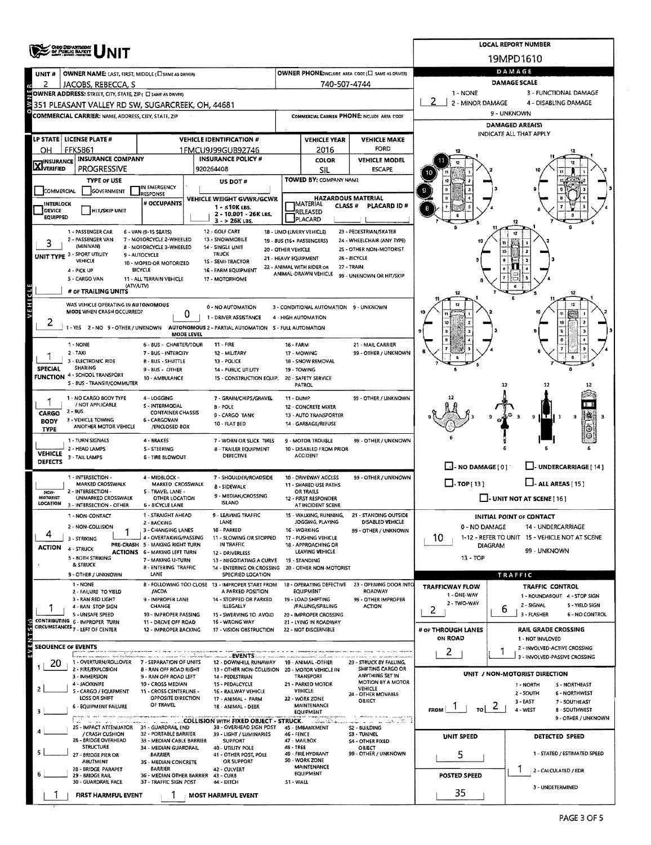|                                                                                                                                                              | OHIO DEPANTIGENT<br>SF PUBLIC SAFETY                                          |                                                                        | <b>LOCAL REPORT NUMBER</b>                                                                                        |                                             |                                                          |                                                                  |                                       |                                                                      |  |  |  |  |
|--------------------------------------------------------------------------------------------------------------------------------------------------------------|-------------------------------------------------------------------------------|------------------------------------------------------------------------|-------------------------------------------------------------------------------------------------------------------|---------------------------------------------|----------------------------------------------------------|------------------------------------------------------------------|---------------------------------------|----------------------------------------------------------------------|--|--|--|--|
|                                                                                                                                                              |                                                                               |                                                                        |                                                                                                                   |                                             |                                                          |                                                                  |                                       | 19MPD1610                                                            |  |  |  |  |
| UNIT#                                                                                                                                                        | OWNER NAME: LAST, FIRST, MIDDLE (CI SAME AS DRIVER)                           |                                                                        | OWNER PHONE:INCLUDE AREA CODE (E) SAME AS DRIVERY                                                                 | DAMAGE                                      |                                                          |                                                                  |                                       |                                                                      |  |  |  |  |
| 2                                                                                                                                                            | JACOBS, REBECCA, S                                                            |                                                                        |                                                                                                                   | 740-507-4744                                | <b>DAMAGE SCALE</b><br>1 - NONE<br>3 - FUNCTIONAL DAMAGE |                                                                  |                                       |                                                                      |  |  |  |  |
| OWNER ADDRESS: STREET, CITY, STATE, ZIP ( C) SAME AS DRIVERY<br>2 - MINOR DAMAGE<br>4 - DISABLING DAMAGE<br>351 PLEASANT VALLEY RD SW, SUGARCREEK, OH, 44681 |                                                                               |                                                                        |                                                                                                                   |                                             |                                                          |                                                                  |                                       |                                                                      |  |  |  |  |
|                                                                                                                                                              | COMMERCIAL CARRIER: NAME, ADDRESS, CITY, STATE, ZIP                           |                                                                        |                                                                                                                   | COMMERCIAL CARRIER PHONE: INCLUDE AREA CODE |                                                          |                                                                  |                                       | 9 - UNKNOWN                                                          |  |  |  |  |
|                                                                                                                                                              |                                                                               |                                                                        |                                                                                                                   |                                             |                                                          |                                                                  | DAMAGED AREA(S)                       |                                                                      |  |  |  |  |
|                                                                                                                                                              | LP STATE   LICENSE PLATE #                                                    |                                                                        | <b>VEHICLE IDENTIFICATION #</b>                                                                                   |                                             | <b>VEHICLE YEAR</b>                                      | <b>VEHICLE MAKE</b>                                              |                                       | INDICATE ALL THAT APPLY                                              |  |  |  |  |
| он                                                                                                                                                           | <b>FFK5861</b>                                                                |                                                                        | 1FMCU9J99GUB92746                                                                                                 |                                             | 2016                                                     | <b>FORD</b>                                                      |                                       |                                                                      |  |  |  |  |
| <b>X</b> INSURANCE                                                                                                                                           | <b>INSURANCE COMPANY</b><br><b>PROGRESSIVE</b>                                |                                                                        | <b>INSURANCE POLICY #</b><br>920264408                                                                            |                                             | <b>COLOR</b><br>SIL                                      | <b>VEHICLE MODEL</b><br><b>ESCAPE</b>                            |                                       |                                                                      |  |  |  |  |
|                                                                                                                                                              | <b>TYPE OF USE</b>                                                            |                                                                        | US DOT#                                                                                                           |                                             | TOWED BY: COMPANY NAME                                   |                                                                  |                                       |                                                                      |  |  |  |  |
| <b>COMMERCIAL</b>                                                                                                                                            | GOVERNMENT                                                                    | IN EMERGENCY<br><b>RESPONSE</b>                                        |                                                                                                                   |                                             |                                                          |                                                                  |                                       |                                                                      |  |  |  |  |
| <b>INTERLOCK</b>                                                                                                                                             |                                                                               | VEHICLE WEIGHT GVWR/GCWR<br># OCCUPANTS                                | <b>HAZARDOUS MATERIAL</b><br><b>IMATERIAL</b><br>CLASS#<br>PLACARD ID#                                            |                                             |                                                          |                                                                  |                                       |                                                                      |  |  |  |  |
| DEVICE<br><b>EQUIPPED</b>                                                                                                                                    | <b>HIT/SKIP UNIT</b>                                                          |                                                                        | 2 - 10.001 - 26K LBS.<br>$3 - 26K$ LBS.                                                                           |                                             | RELEASED<br>PLACARD                                      |                                                                  |                                       |                                                                      |  |  |  |  |
|                                                                                                                                                              | 1 - PASSENGER CAR                                                             | 6 - VAN (9-15 SEATS)                                                   | 12 - GOLF CART                                                                                                    |                                             | 18 - LIMO (LIVERY VEHICLE)                               | 23 - PEDESTRIAN/SKATER                                           |                                       |                                                                      |  |  |  |  |
|                                                                                                                                                              | 2 - PASSENGER VAN<br>(MINIVAN)                                                | 7 - MOTORCYCLE 2-WHEELED<br>8 - MOTORCYCLE 3-WHEELED                   | 13 - SNOWMOBILE<br>14 - SINGLE UNIT                                                                               | 20 - OTHER VEHICLE                          | 19 - BUS (16+ PASSENGERS)                                | 24 - WHEELCHAIR (ANY TYPE)<br>25 - OTHER NON-MOTORIST            |                                       |                                                                      |  |  |  |  |
|                                                                                                                                                              | UNIT TYPE 3 - SPORT UTILITY<br>VEHICLE                                        | 9 - AUTOCYCLE<br>10 - MOPED OR MOTORIZED                               | <b>TRUCK</b><br>15 - SEMI-TRACTOR                                                                                 |                                             | 21 - HEAVY EQUIPMENT                                     | 26 BICYCLE                                                       |                                       |                                                                      |  |  |  |  |
|                                                                                                                                                              | 4 - PICK UP                                                                   | <b>BICYCLE</b>                                                         | 16 - FARM EQUIPMENT                                                                                               |                                             | 22 - ANIMAL WITH RIDER OR<br>ANIMAL-DRAWN VEHICLE        | 27 - TRAIN<br>99 - UNKNOWN OR HIT/SKIP                           |                                       |                                                                      |  |  |  |  |
|                                                                                                                                                              | 5 - CARGO VAN<br>(ATV/UTV)                                                    | 11 - ALL TERRAIN VEHICLE                                               | 17 - MOTORHOME                                                                                                    |                                             |                                                          |                                                                  |                                       |                                                                      |  |  |  |  |
|                                                                                                                                                              | # OF TRAILING UNITS                                                           |                                                                        |                                                                                                                   |                                             |                                                          |                                                                  |                                       |                                                                      |  |  |  |  |
| VEHICLE                                                                                                                                                      | WAS VEHICLE OPERATING IN AUTONOMOUS<br>MODE WHEN CRASH OCCURRED?              | 0                                                                      | 0 - NO AUTOMATION                                                                                                 |                                             | 3 - CONDITIONAL AUTOMATION 9 - UNKNOWN                   |                                                                  |                                       |                                                                      |  |  |  |  |
| ۷                                                                                                                                                            |                                                                               |                                                                        | 1 - DRIVER ASSISTANCE<br>1 - YES 2 - NO 9 - OTHER / UNKNOWN AUTONOMOUS 2 - PARTIAL AUTOMATION 5 - FULL AUTOMATION |                                             | 4 - HIGH AUTOMATION                                      |                                                                  |                                       |                                                                      |  |  |  |  |
|                                                                                                                                                              |                                                                               | <b>MODE LEVEL</b>                                                      |                                                                                                                   |                                             |                                                          |                                                                  |                                       |                                                                      |  |  |  |  |
|                                                                                                                                                              | 1 - NONE<br>$2 - TAXI$                                                        | 6 - BUS - CHARTER/TOUR<br>7 - BUS - INTERCITY                          | <b>11 - FIRE</b><br>12 - MILITARY                                                                                 | 16 - FARM                                   | 17 - MOWING                                              | 21 - MAIL CARRIER<br>99 - OTHER / UNKNOWN                        |                                       |                                                                      |  |  |  |  |
|                                                                                                                                                              | - ELECTRONIC RIDE<br>з<br>SHARING                                             | 8 - BUS - SHUTTLE                                                      | 13 - POLICE                                                                                                       |                                             | 18 - SNOW REMOVAL                                        |                                                                  |                                       |                                                                      |  |  |  |  |
| <b>SPECIAL</b>                                                                                                                                               | FUNCTION 4 - SCHOOL TRANSPORT                                                 | $9 - BUS - OTHER$<br>10 - AMBULANCE                                    | 14 - PUBLIC UTILITY<br>15 - CONSTRUCTION EQUIP.                                                                   |                                             | 19 - TOWING<br>20 - SAFETY SERVICE                       |                                                                  |                                       |                                                                      |  |  |  |  |
|                                                                                                                                                              | 5 - BUS - TRANSIT/COMMUTER                                                    |                                                                        |                                                                                                                   |                                             | PATROL                                                   |                                                                  |                                       | 12<br>12                                                             |  |  |  |  |
|                                                                                                                                                              | 1 - NO CARGO BODY TYPE<br>/ NOT APPLICABLE                                    | 4 - LOGGING<br>S - INTERMODAL                                          | 7 - GRAIN/CHIPS/GRAVEL<br><b>B-POLE</b>                                                                           | 11 - DUMP                                   | 12 - CONCRETE MIXER                                      | 99 - OTHER / UNKNOWN                                             |                                       |                                                                      |  |  |  |  |
| <b>CARGO</b>                                                                                                                                                 | 2 - BUS<br>3 - VEHICLE TOWING                                                 | <b>CONTAINER CHASSIS</b><br>6 - CARGOVAN                               | 9 - CARGO TANK                                                                                                    |                                             | 13 - AUTO TRANSPORTER                                    |                                                                  |                                       | ιT<br>9                                                              |  |  |  |  |
| BODY<br><b>TYPE</b>                                                                                                                                          | ANOTHER MOTOR VEHICLE                                                         | /ENCLOSED BOX                                                          | 10 - FLAT BED                                                                                                     |                                             | 14 - GARBAGE/REFUSE                                      |                                                                  |                                       |                                                                      |  |  |  |  |
|                                                                                                                                                              | 1 - TURN SIGNALS                                                              | 4 - BRAKES                                                             | 7 - WORN OR SLICK TIRES                                                                                           |                                             | 9 - MOTOR TROUBLE                                        | 99 - OTHER / UNKNOWN                                             |                                       |                                                                      |  |  |  |  |
| <b>VEHICLE</b>                                                                                                                                               | 2 - HEAD LAMPS<br>3 - TAIL LAMPS                                              | S - STEERING<br><b>6 - TIRE BLOWOUT</b>                                | 8 - TRAILER EQUIPMENT<br>DEFECTIVE                                                                                |                                             | 10 - DISABLED FROM PRIOR<br><b>ACCIDENT</b>              |                                                                  |                                       |                                                                      |  |  |  |  |
| <b>DEFECTS</b>                                                                                                                                               |                                                                               |                                                                        |                                                                                                                   |                                             |                                                          |                                                                  | $\Box$ - NO DAMAGE(0)                 | $\Box$ - UNDERCARRIAGE [ 14 ]                                        |  |  |  |  |
|                                                                                                                                                              | 1 - INTERSECTION -<br>MARKED CROSSWALK                                        | 4 - MIDBLOCK -<br>MARKED CROSSWALK                                     | 7 - SHOULDER/ROADSIDE<br>8 - SIDEWALK                                                                             |                                             | 10 - DRIVEWAY ACCESS<br>11 - SHARED USE PATHS            | 99 - OTHER / UNKNOWN                                             | $\Box$ -TOP(13)                       | $\Box$ - ALL AREAS [15]                                              |  |  |  |  |
| NON-<br>MOTORIST                                                                                                                                             | 2 - INTERSECTION -<br>UNMARKED CROSSWALK                                      | 5 - TRAVEL LANE -<br>OTHER LOCATION                                    | 9 - MEDIAN/CROSSING                                                                                               |                                             | OR TRAILS<br>12 - FIRST RESPONDER                        |                                                                  |                                       | $\Box$ - UNIT NOT AT SCENE [16]                                      |  |  |  |  |
| LOCATION                                                                                                                                                     | 3 - INTERSECTION - OTHER                                                      | <b>6 - BICYCLE LANE</b>                                                | <b>ISLAND</b>                                                                                                     |                                             | AT INCIDENT SCENE                                        |                                                                  |                                       |                                                                      |  |  |  |  |
|                                                                                                                                                              | 1 - NON-CONTACT                                                               | 1 - STRAIGHT AHEAD<br>2 - BACKING                                      | <b>9 - LEAVING TRAFFIC</b><br>LANE                                                                                |                                             | JOGGING, PLAYING                                         | 15 - WALKING, RUNNING, 21 - STANDING OUTSIDE<br>DISABLED VEHICLE |                                       | <b>INITIAL POINT OF CONTACT</b>                                      |  |  |  |  |
|                                                                                                                                                              | 2 - NON-COLLISION<br>3 - STRIKING                                             | 3 - CHANGING LANES<br>4 - OVERTAKING/PASSING                           | 10 - PARKED<br>11 - SLOWING OR STOPPED                                                                            |                                             | 16 - WORKING<br>17 - PUSHING VEHICLE                     | 99 - OTHER / UNKNOWN                                             | 0 - NO DAMAGE<br>10.                  | 14 - UNDERCARRIAGE<br>1-12 - REFER TO UNIT 15 - VEHICLE NOT AT SCENE |  |  |  |  |
| <b>ACTION</b>                                                                                                                                                | 4 - STRUCK                                                                    | PRE-CRASH 5 - MAKING RIGHT TURN<br><b>ACTIONS 6 - MAKING LEFT TURN</b> | IN TRAFFIC<br>12 - DRIVERLESS                                                                                     |                                             | 18 - APPROACHING OR<br>LEAVING VEHICLE                   |                                                                  | <b>DIAGRAM</b>                        | 99 - UNKNOWN                                                         |  |  |  |  |
|                                                                                                                                                              | <b>5 - BOTH STRIKING</b><br>& STRUCK                                          | 7 - MAKING U-TURN                                                      | 13 - NEGOTIATING A CURVE 19 - STANDING                                                                            |                                             |                                                          |                                                                  | $13 - TOP$                            |                                                                      |  |  |  |  |
|                                                                                                                                                              | 9 - OTHER / UNKNOWN                                                           | <b>8 - ENTERING TRAFFIC</b><br>LANE                                    | 14 - ENTERING OR CROSSING 20 - OTHER NON-MOTORIST<br>SPECIFIED LOCATION                                           |                                             |                                                          |                                                                  |                                       | TRAFFIC                                                              |  |  |  |  |
|                                                                                                                                                              | 1 - NONE<br>2 - FAILURE TO YIELD                                              | <b>JACDA</b>                                                           | 8 - FOLLOWING TOO CLOSE 13 - IMPROPER START FROM<br>A PARKED POSITION                                             |                                             | 18 - OPERATING DEFECTIVE<br>EQUIPMENT                    | 23 - OPENING DOOR INTO<br>ROADWAY                                | <b>TRAFFICWAY FLOW</b>                | TRAFFIC CONTROL                                                      |  |  |  |  |
|                                                                                                                                                              | 3 - RAN RED LIGHT<br>4 - RAN STOP SIGN                                        | 9 - IMPROPER LANE                                                      | 14 - STOPPED OR PARKED                                                                                            |                                             | 19 - LOAD SHIFTING<br>/FALLING/SPILLING                  | 99 - OTHER IMPROPER<br><b>ACTION</b>                             | 1 - ONE-WAY<br>2 - TWO-WAY            | 1 - ROUNDABOUT 4 - STOP SIGN<br>2 - SIGNAL<br>S - YIELD SIGN         |  |  |  |  |
|                                                                                                                                                              | 5 - UNSAFE SPEED                                                              | CHANGE<br>10 - IMPROPER PASSING                                        | ILLEGALLY<br>15 - SWERVING TO AVOID                                                                               |                                             | 20 - IMPROPER CROSSING                                   |                                                                  | 2                                     | 6<br>3 - FLASHER<br>6 - NO CONTROL                                   |  |  |  |  |
| VENTS <sub>(S)</sub>                                                                                                                                         | CONTRIBUTING 6 - IMPROPER TURN<br>CIRCUMSTANCES <sub>7</sub> - LEFT OF CENTER | 11 - DROVE OFF ROAD<br>12 - IMPROPER BACKING                           | 16 - WRONG WAY<br>17 - VISION OBSTRUCTION                                                                         |                                             | 21 - LYING IN ROADWAY<br>22 - NOT DISCERNIBLE            |                                                                  | # OF THROUGH LANES                    | RAIL GRADE CROSSING                                                  |  |  |  |  |
|                                                                                                                                                              |                                                                               |                                                                        |                                                                                                                   |                                             |                                                          |                                                                  | ON ROAD                               | 1 - NOT INVLOVED                                                     |  |  |  |  |
|                                                                                                                                                              | <b>SEQUENCE OF EVENTS</b>                                                     |                                                                        | -- ------ - EVENTS -                                                                                              |                                             |                                                          |                                                                  | 2                                     | 2 - INVOLVED-ACTIVE CROSSING<br>3 - INVOLVED-PASSIVE CROSSING        |  |  |  |  |
| 20                                                                                                                                                           | 1 - OVERTURN/ROLLOVER 7 - SEPARATION OF UNITS<br>2 - FIRE/EXPLOSION           | <b>B - RAN OFF ROAD RIGHT</b>                                          | 12 - DOWNHILL RUNAWAY 19 - ANIMAL -OTHER<br>13 - OTHER NON-COLLISION 20 - MOTOR VEHICLE IN                        |                                             |                                                          | 23 - STRUCK BY FALLING,<br>SHIFTING CARGO OR                     |                                       |                                                                      |  |  |  |  |
|                                                                                                                                                              | 3 - IMMERSION<br>4 - JACKKNIFE                                                | 9 - RAN OFF ROAD LEFT<br>10 - CROSS MEDIAN                             | 14 - PEDESTRIAN<br>15 - PEDALCYCLE                                                                                |                                             | TRANSPORT<br>21 - PARKED MOTOR                           | ANYTHING SET IN<br>MOTION BY A MOTOR                             |                                       | UNIT / NON-MOTORIST DIRECTION<br>S - NORTHEAST<br>1 - NORTH          |  |  |  |  |
|                                                                                                                                                              | 5 - CARGO / EQUIPMENT<br>LOSS OR SHIFT                                        | 11 - CROSS CENTERLINE -<br>OPPOSITE DIRECTION                          | 16 - RAILWAY VEHICLE                                                                                              |                                             | VEHICLE<br>22 - WORK ZONE                                | VEHICLE<br>24 - OTHER MOVABLE                                    |                                       | 2 - SOUTH<br>6 - NORTHWEST                                           |  |  |  |  |
|                                                                                                                                                              | 6 - EQUIPMENT FAILURE                                                         | OF TRAVEL                                                              | 17 - ANIMAL - FARM<br>18 - ANIMAL - DEER                                                                          |                                             | MAINTENANCE                                              | OBJECT                                                           | $_{\text{tol}}$ $\leq$<br><b>FROM</b> | $3 - EAST$<br>7 - SOUTHEAST<br>4 - WEST<br>8 - SOUTHWEST             |  |  |  |  |
|                                                                                                                                                              | .<br>Agusta a comunadores                                                     |                                                                        | COLLISION WITH FIXED OBJECT - STRUCK.                                                                             |                                             | <b>EQUIPMENT</b><br>تأملنا بالمائست                      |                                                                  |                                       | 9 - OTHER / UNKNOWN                                                  |  |  |  |  |
|                                                                                                                                                              | 2S - IMPACT ATTENUATOR 31 - GUARDRAIL END<br>/ CRASH CUSHION                  | 32 - PORTABLE BARRIER                                                  | 3B - OVERHEAD SIGN POST<br>39 - LIGHT / LUMINARIES                                                                | 46 - FENCE                                  | 45 - EMBANKMENT                                          | S2 - BUILDING<br>S3 - TUNNEL                                     | <b>UNIT SPEED</b>                     | DETECTED SPEED                                                       |  |  |  |  |
|                                                                                                                                                              | 26 - BRIDGE OVERHEAD<br>STRUCTURE                                             | 33 - MEDIAN CABLE BARRIER<br>34 - MEDIAN GUARDRAIL                     | <b>SUPPORT</b><br>40 - UTILITY POLE                                                                               | 48 - TREE                                   | 47 - MAILBOX                                             | <b>54 - OTHER FIXED</b><br>OBJECT                                |                                       |                                                                      |  |  |  |  |
|                                                                                                                                                              | 27 - BRIDGE PIER OR<br>ABUTMENT                                               | <b>BARRIER</b><br>3S - MEDIAN CONCRETE                                 | 41 - OTHER POST, POLE<br>OR SUPPORT                                                                               |                                             | 49 - FIRE HYDRANT<br>50 - WORK ZONE                      | 99 - OTHER / UNKNOWN                                             | 5                                     | 1 - STATED / ESTIMATED SPEED                                         |  |  |  |  |
|                                                                                                                                                              | 28 - BRIDGE PARAPET<br>29 - BRIDGE RAIL                                       | <b>BARRIER</b><br>36 - MEDIAN OTHER BARRIER 43 - CURB                  | 42 - CULVERT                                                                                                      |                                             | <b>MAINTENANCE</b><br><b>EQUIPMENT</b>                   |                                                                  | POSTED SPEED                          | 2 - CALCULATED / EDR                                                 |  |  |  |  |
|                                                                                                                                                              | 30 - GUARDRAIL FACE                                                           | 37 - TRAFFIC SIGN POST                                                 | 44 - DITCH                                                                                                        | S1 - WALL                                   |                                                          |                                                                  |                                       | 3 - UNDETERMINED                                                     |  |  |  |  |
|                                                                                                                                                              | <b>FIRST HARMFUL EVENT</b>                                                    |                                                                        | <b>MOST HARMFUL EVENT</b>                                                                                         |                                             |                                                          |                                                                  | 35                                    |                                                                      |  |  |  |  |